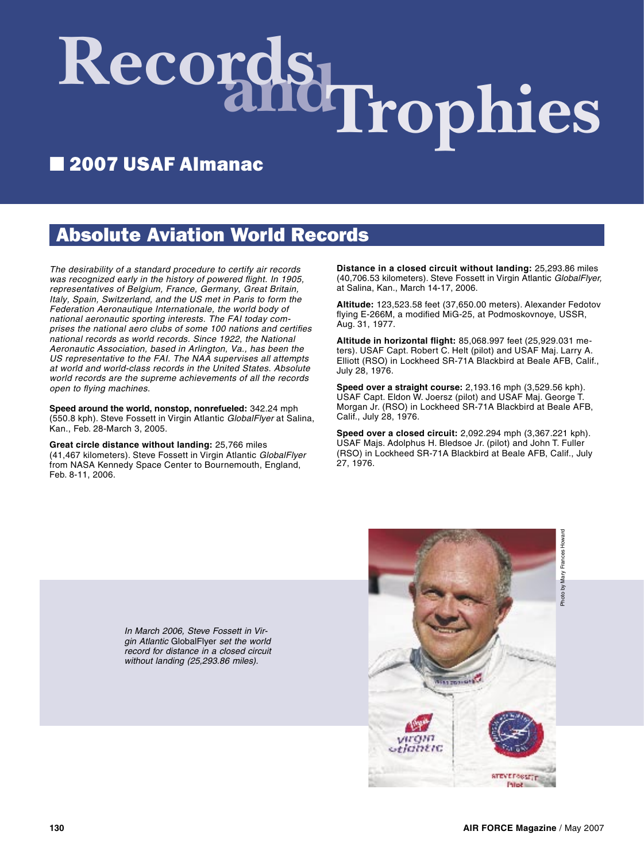# Records Irophies

## ■ 2007 USAF Almanac

### Absolute Aviation World Records

The desirability of a standard procedure to certify air records was recognized early in the history of powered flight. In 1905, representatives of Belgium, France, Germany, Great Britain, Italy, Spain, Switzerland, and the US met in Paris to form the Federation Aeronautique Internationale, the world body of national aeronautic sporting interests. The FAI today comprises the national aero clubs of some 100 nations and certifies national records as world records. Since 1922, the National Aeronautic Association, based in Arlington, Va., has been the US representative to the FAI. The NAA supervises all attempts at world and world-class records in the United States. Absolute world records are the supreme achievements of all the records open to flying machines.

**Speed around the world, nonstop, nonrefueled:** 342.24 mph (550.8 kph). Steve Fossett in Virgin Atlantic GlobalFlyer at Salina, Kan., Feb. 28-March 3, 2005.

**Great circle distance without landing:** 25,766 miles (41,467 kilometers). Steve Fossett in Virgin Atlantic GlobalFlyer from NASA Kennedy Space Center to Bournemouth, England, Feb. 8-11, 2006.

**Distance in a closed circuit without landing:** 25,293.86 miles (40,706.53 kilometers). Steve Fossett in Virgin Atlantic GlobalFlyer, at Salina, Kan., March 14-17, 2006.

**Altitude:** 123,523.58 feet (37,650.00 meters). Alexander Fedotov flying E-266M, a modified MiG-25, at Podmoskovnoye, USSR, Aug. 31, 1977.

**Altitude in horizontal flight:** 85,068.997 feet (25,929.031 meters). USAF Capt. Robert C. Helt (pilot) and USAF Maj. Larry A. Elliott (RSO) in Lockheed SR-71A Blackbird at Beale AFB, Calif., July 28, 1976.

**Speed over a straight course:** 2,193.16 mph (3,529.56 kph). USAF Capt. Eldon W. Joersz (pilot) and USAF Maj. George T. Morgan Jr. (RSO) in Lockheed SR-71A Blackbird at Beale AFB, Calif., July 28, 1976.

**Speed over a closed circuit:** 2,092.294 mph (3,367.221 kph). USAF Majs. Adolphus H. Bledsoe Jr. (pilot) and John T. Fuller (RSO) in Lockheed SR-71A Blackbird at Beale AFB, Calif., July 27, 1976.



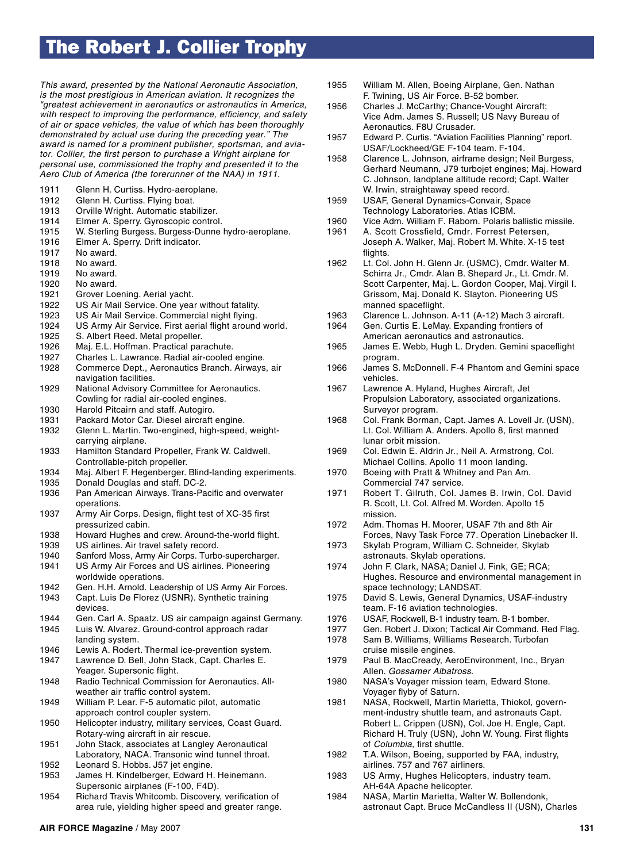#### The Robert J. Collier Trophy

This award, presented by the National Aeronautic Association, is the most prestigious in American aviation. It recognizes the "greatest achievement in aeronautics or astronautics in America, with respect to improving the performance, efficiency, and safety of air or space vehicles, the value of which has been thoroughly demonstrated by actual use during the preceding year." The award is named for a prominent publisher, sportsman, and aviator. Collier, the first person to purchase a Wright airplane for personal use, commissioned the trophy and presented it to the Aero Club of America (the forerunner of the NAA) in 1911.

- 1911 Glenn H. Curtiss. Hydro-aeroplane.
- 1912 Glenn H. Curtiss. Flying boat.
- 1913 Orville Wright. Automatic stabilizer.
- 1914 Elmer A. Sperry. Gyroscopic control.
- 1915 W. Sterling Burgess. Burgess-Dunne hydro-aeroplane.
- 1916 Elmer A. Sperry. Drift indicator.
- 1917 No award.
- 1918 No award.
- 1919 No award.
- 1920 No award.
- 1921 Grover Loening. Aerial yacht.
- 1922 US Air Mail Service. One year without fatality.
- 1923 US Air Mail Service. Commercial night flying.
- 1924 US Army Air Service. First aerial flight around world.
- 1925 S. Albert Reed. Metal propeller.
- 1926 Maj. E.L. Hoffman. Practical parachute.
- 1927 Charles L. Lawrance. Radial air-cooled engine.
- 1928 Commerce Dept., Aeronautics Branch. Airways, air navigation facilities.
- 1929 National Advisory Committee for Aeronautics. Cowling for radial air-cooled engines. 1930 Harold Pitcairn and staff. Autogiro.
- 
- 1931 Packard Motor Car. Diesel aircraft engine.
- 1932 Glenn L. Martin. Two-engined, high-speed, weight carrying airplane.
- 1933 Hamilton Standard Propeller, Frank W. Caldwell. Controllable-pitch propeller.
- 1934 Maj. Albert F. Hegenberger. Blind-landing experiments.
- 1935 Donald Douglas and staff. DC-2.
- 1936 Pan American Airways. Trans-Pacific and overwater operations.
- 1937 Army Air Corps. Design, flight test of XC-35 first pressurized cabin.
- 1938 Howard Hughes and crew. Around-the-world flight.
- 1939 US airlines. Air travel safety record.
- 1940 Sanford Moss, Army Air Corps. Turbo-supercharger.
- 1941 US Army Air Forces and US airlines. Pioneering worldwide operations.
- 1942 Gen. H.H. Arnold. Leadership of US Army Air Forces.
- 1943 Capt. Luis De Florez (USNR). Synthetic training devices.
- 1944 Gen. Carl A. Spaatz. US air campaign against Germany.
- 1945 Luis W. Alvarez. Ground-control approach radar landing system.
- 1946 Lewis A. Rodert. Thermal ice-prevention system.
- 1947 Lawrence D. Bell, John Stack, Capt. Charles E. Yeager. Supersonic flight.
- 1948 Radio Technical Commission for Aeronautics. All weather air traffic control system.
- 1949 William P. Lear. F-5 automatic pilot, automatic approach control coupler system.
- 1950 Helicopter industry, military services, Coast Guard. Rotary-wing aircraft in air rescue.
- 1951 John Stack, associates at Langley Aeronautical Laboratory, NACA. Transonic wind tunnel throat.
- 1952 Leonard S. Hobbs. J57 jet engine.
- 1953 James H. Kindelberger, Edward H. Heinemann. Supersonic airplanes (F-100, F4D).
- 1954 Richard Travis Whitcomb. Discovery, verification of area rule, yielding higher speed and greater range.
- 1955 William M. Allen, Boeing Airplane, Gen. Nathan F. Twining, US Air Force. B-52 bomber.
- 1956 Charles J. McCarthy; Chance-Vought Aircraft; Vice Adm. James S. Russell; US Navy Bureau of Aeronautics. F8U Crusader.
- 1957 Edward P. Curtis. "Aviation Facilities Planning" report. USAF/Lockheed/GE F-104 team. F-104.
- 1958 Clarence L. Johnson, airframe design; Neil Burgess, Gerhard Neumann, J79 turbojet engines; Maj. Howard C. Johnson, landplane altitude record; Capt. Walter W. Irwin, straightaway speed record.
- 1959 USAF, General Dynamics-Convair, Space Technology Laboratories. Atlas ICBM.
- 1960 Vice Adm. William F. Raborn. Polaris ballistic missile.
- 1961 A. Scott Crossfield, Cmdr. Forrest Petersen, Joseph A. Walker, Maj. Robert M. White. X-15 test flights.
- 1962 Lt. Col. John H. Glenn Jr. (USMC), Cmdr. Walter M. Schirra Jr., Cmdr. Alan B. Shepard Jr., Lt. Cmdr. M. Scott Carpenter, Maj. L. Gordon Cooper, Maj. Virgil I. Grissom, Maj. Donald K. Slayton. Pioneering US manned spaceflight.
- 1963 Clarence L. Johnson. A-11 (A-12) Mach 3 aircraft.
- 1964 Gen. Curtis E. LeMay. Expanding frontiers of American aeronautics and astronautics.
- 1965 James E. Webb, Hugh L. Dryden. Gemini spaceflight program.
- 1966 James S. McDonnell. F-4 Phantom and Gemini space vehicles.
- 1967 Lawrence A. Hyland, Hughes Aircraft, Jet Propulsion Laboratory, associated organizations. Surveyor program.
- 1968 Col. Frank Borman, Capt. James A. Lovell Jr. (USN), Lt. Col. William A. Anders. Apollo 8, first manned lunar orbit mission.
- 1969 Col. Edwin E. Aldrin Jr., Neil A. Armstrong, Col. Michael Collins. Apollo 11 moon landing.
- 1970 Boeing with Pratt & Whitney and Pan Am. Commercial 747 service.
- 1971 Robert T. Gilruth, Col. James B. Irwin, Col. David R. Scott, Lt. Col. Alfred M. Worden. Apollo 15 mission.
- 1972 Adm. Thomas H. Moorer, USAF 7th and 8th Air Forces, Navy Task Force 77. Operation Linebacker II.
- 1973 Skylab Program, William C. Schneider, Skylab astronauts. Skylab operations.
- 1974 John F. Clark, NASA; Daniel J. Fink, GE; RCA; Hughes. Resource and environmental management in space technology; LANDSAT.
- 1975 David S. Lewis, General Dynamics, USAF-industry team. F-16 aviation technologies.<br>1976 USAF. Rockwell. B-1 industry team
- USAF, Rockwell, B-1 industry team. B-1 bomber.
- 1977 Gen. Robert J. Dixon; Tactical Air Command. Red Flag.
- 1978 Sam B. Williams, Williams Research. Turbofan cruise missile engines.
- 1979 Paul B. MacCready, AeroEnvironment, Inc., Bryan Allen. Gossamer Albatross.
- 1980 NASA's Voyager mission team, Edward Stone. Voyager flyby of Saturn.<br>1981 NASA, Rockwell, Martin
- NASA, Rockwell, Martin Marietta, Thiokol, govern ment-industry shuttle team, and astronauts Capt. Robert L. Crippen (USN), Col. Joe H. Engle, Capt. Richard H. Truly (USN), John W. Young. First flights of Columbia, first shuttle.
- 1982 T.A. Wilson, Boeing, supported by FAA, industry, airlines. 757 and 767 airliners.
- 1983 US Army, Hughes Helicopters, industry team. AH-64A Apache helicopter.
- 1984 NASA, Martin Marietta, Walter W. Bollendonk, astronaut Capt. Bruce McCandless II (USN), Charles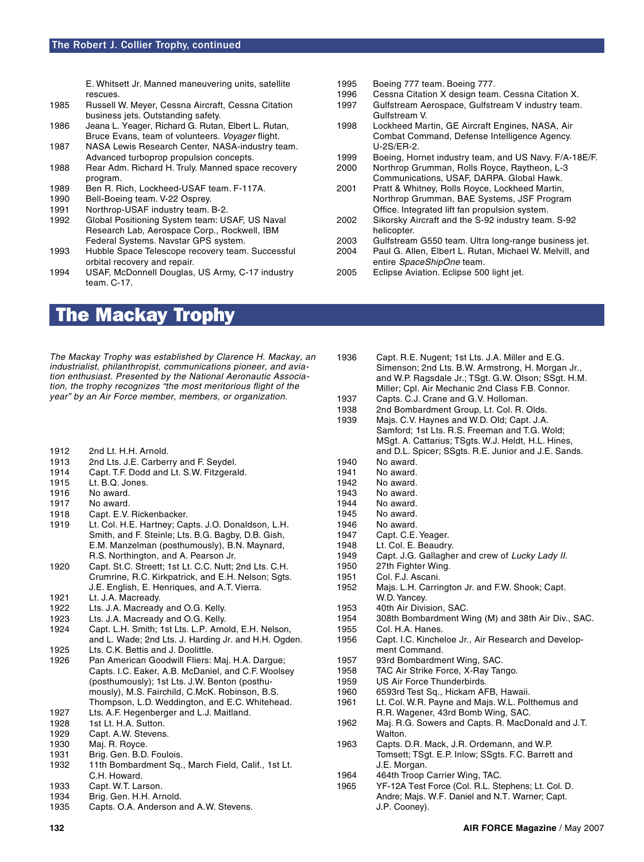E. Whitsett Jr. Manned maneuvering units, satellite

- rescues. Russell W. Meyer, Cessna Aircraft, Cessna Citation business jets. Outstanding safety.
- 1986 Jeana L. Yeager, Richard G. Rutan, Elbert L. Rutan, Bruce Evans, team of volunteers. Voyager flight.
- 1987 NASA Lewis Research Center, NASA-industry team. Advanced turboprop propulsion concepts.
- 1988 Rear Adm. Richard H. Truly. Manned space recovery program.
- 1989 Ben R. Rich, Lockheed-USAF team. F-117A.<br>1990 Bell-Boeing team. V-22 Osprev.
- Bell-Boeing team. V-22 Osprey.
- 1991 Northrop-USAF industry team. B-2.
- 1992 Global Positioning System team: USAF, US Naval Research Lab, Aerospace Corp., Rockwell, IBM Federal Systems. Navstar GPS system.
- 1993 Hubble Space Telescope recovery team. Successful orbital recovery and repair.
- 1994 USAF, McDonnell Douglas, US Army, C-17 industry team. C-17.
- The Mackay Trophy

The Mackay Trophy was established by Clarence H. Mackay, an industrialist, philanthropist, communications pioneer, and aviation enthusiast. Presented by the National Aeronautic Association, the trophy recognizes "the most meritorious flight of the year" by an Air Force member, members, or organization.

- 1912 2nd Lt. H.H. Arnold.
- 1913 2nd Lts. J.E. Carberry and F. Seydel.
- 1914 Capt. T.F. Dodd and Lt. S.W. Fitzgerald.
- 1915 Lt. B.Q. Jones.
- 1916 No award.
- 1917 No award.
- 1918 Capt. E.V. Rickenbacker. 1919 Lt. Col. H.E. Hartney; Capts. J.O. Donaldson, L.H.
- Smith, and F. Steinle; Lts. B.G. Bagby, D.B. Gish, E.M. Manzelman (posthumously), B.N. Maynard, R.S. Northington, and A. Pearson Jr.
- 1920 Capt. St.C. Streett; 1st Lt. C.C. Nutt; 2nd Lts. C.H. Crumrine, R.C. Kirkpatrick, and E.H. Nelson; Sgts. J.E. English, E. Henriques, and A.T. Vierra.
- 1921 Lt. J.A. Macready.
- 1922 Lts. J.A. Macready and O.G. Kelly.<br>1923 Lts. J.A. Macready and O.G. Kelly.
- Lts. J.A. Macready and O.G. Kelly.
- 1924 Capt. L.H. Smith; 1st Lts. L.P. Arnold, E.H. Nelson, and L. Wade; 2nd Lts. J. Harding Jr. and H.H. Ogden.<br>1925 Lts. C.K. Bettis and J. Doolittle.
- Lts. C.K. Bettis and J. Doolittle.
- 1926 Pan American Goodwill Fliers: Maj. H.A. Dargue; Capts. I.C. Eaker, A.B. McDaniel, and C.F. Woolsey (posthumously); 1st Lts. J.W. Benton (posthu mously), M.S. Fairchild, C.McK. Robinson, B.S. Thompson, L.D. Weddington, and E.C. Whitehead.
- 1927 Lts. A.F. Hegenberger and L.J. Maitland.
- 1928 1st Lt. H.A. Sutton.
- 1929 Capt. A.W. Stevens.
- 1930 Maj. R. Royce.
- 1931 Brig. Gen. B.D. Foulois.
- 1932 11th Bombardment Sq., March Field, Calif., 1st Lt. C.H. Howard.
- 1933 Capt. W.T. Larson.
- 1934 Brig. Gen. H.H. Arnold.
- 1935 Capts. O.A. Anderson and A.W. Stevens.
- 1995 Boeing 777 team. Boeing 777.
- 1996 Cessna Citation X design team. Cessna Citation X.<br>1997 Gulfstream Aerospace. Gulfstream V industry team
- Gulfstream Aerospace, Gulfstream V industry team. Gulfstream V.
- 1998 Lockheed Martin, GE Aircraft Engines, NASA, Air Combat Command, Defense Intelligence Agency. U-2S/ER-2.
- 1999 Boeing, Hornet industry team, and US Navy. F/A-18E/F.
- 2000 Northrop Grumman, Rolls Royce, Raytheon, L-3 Communications, USAF, DARPA. Global Hawk.
- 2001 Pratt & Whitney, Rolls Royce, Lockheed Martin, Northrop Grumman, BAE Systems, JSF Program Office. Integrated lift fan propulsion system.
- 2002 Sikorsky Aircraft and the S-92 industry team. S-92 helicopter.
- 2003 Gulfstream G550 team. Ultra long-range business jet.
- 2004 Paul G. Allen, Elbert L. Rutan, Michael W. Melvill, and entire SpaceShipOne team.
- 2005 Eclipse Aviation. Eclipse 500 light jet.
- 1936 Capt. R.E. Nugent; 1st Lts. J.A. Miller and E.G. Simenson; 2nd Lts. B.W. Armstrong, H. Morgan Jr., and W.P. Ragsdale Jr.; TSgt. G.W. Olson; SSgt. H.M. Miller; Cpl. Air Mechanic 2nd Class F.B. Connor. 1937 Capts. C.J. Crane and G.V. Holloman.
- 1938 2nd Bombardment Group, Lt. Col. R. Olds.<br>1939 Mais. C.V. Havnes and W.D. Old: Capt. J.A. Majs. C.V. Haynes and W.D. Old; Capt. J.A. Samford; 1st Lts. R.S. Freeman and T.G. Wold; MSgt. A. Cattarius; TSgts. W.J. Heldt, H.L. Hines, and D.L. Spicer; SSgts. R.E. Junior and J.E. Sands. 1940 No award.
- 1941 No award.
- 1942 No award.
- 
- 1943 No award.<br>1944 No award. No award.
- 1945 No award.
- 
- 1946 No award.<br>1947 Capt. C.E. Capt. C.E. Yeager.
- 1948 Lt. Col. E. Beaudry.
- 1949 Capt. J.G. Gallagher and crew of Lucky Lady II.
- 1950 27th Fighter Wing.
- 1951 Col. F.J. Ascani.<br>1952 Mais. L.H. Carrir
- Majs. L.H. Carrington Jr. and F.W. Shook; Capt. W.D. Yancey.<br>1953 40th Air Divis
- 1953 40th Air Division, SAC.<br>1954 308th Bombardment W
- 1954 308th Bombardment Wing (M) and 38th Air Div., SAC.<br>1955 Col. H.A. Hanes.
- Col. H.A. Hanes.
- 1956 Capt. I.C. Kincheloe Jr., Air Research and Develop ment Command.
- 1957 93rd Bombardment Wing, SAC.
- 1958 TAC Air Strike Force, X-Ray Tango.
- 1959 US Air Force Thunderbirds.
- 1960 6593rd Test Sq., Hickam AFB, Hawaii.
- Lt. Col. W.R. Payne and Majs. W.L. Polthemus and R.R. Wagener, 43rd Bomb Wing, SAC.
- 1962 Maj. R.G. Sowers and Capts. R. MacDonald and J.T. **Walton**
- 1963 Capts. D.R. Mack, J.R. Ordemann, and W.P. Tomsett; TSgt. E.P. Inlow; SSgts. F.C. Barrett and J.E. Morgan.
- 1964 464th Troop Carrier Wing, TAC.
- 1965 YF-12A Test Force (Col. R.L. Stephens; Lt. Col. D. Andre; Majs. W.F. Daniel and N.T. Warner; Capt. J.P. Cooney).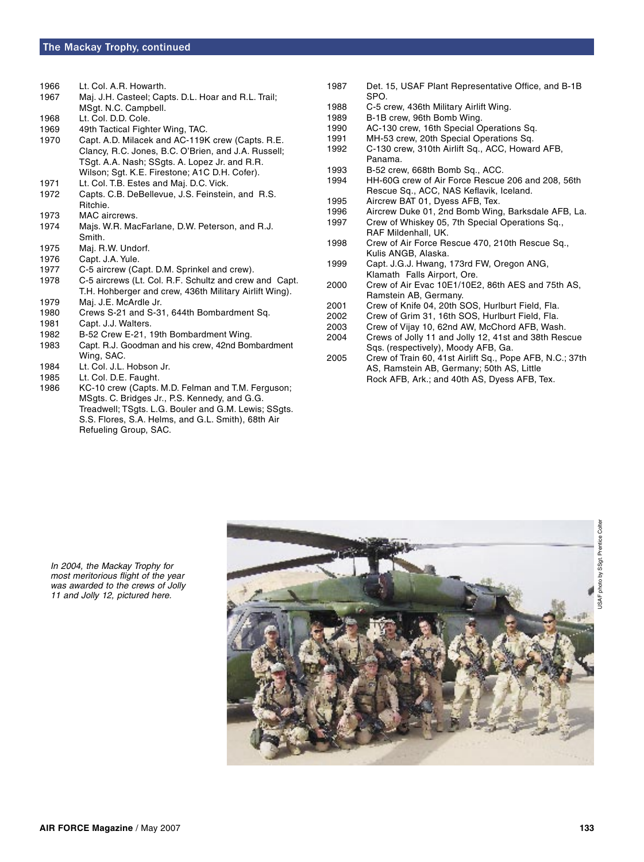- 1966 Lt. Col. A.R. Howarth.
- 1967 Maj. J.H. Casteel; Capts. D.L. Hoar and R.L. Trail; MSgt. N.C. Campbell.
- 1968 Lt. Col. D.D. Cole.
- 1969 49th Tactical Fighter Wing, TAC.
- 1970 Capt. A.D. Milacek and AC-119K crew (Capts. R.E. Clancy, R.C. Jones, B.C. O'Brien, and J.A. Russell; TSgt. A.A. Nash; SSgts. A. Lopez Jr. and R.R. Wilson; Sgt. K.E. Firestone; A1C D.H. Cofer).
- 1971 Lt. Col. T.B. Estes and Maj. D.C. Vick.
- 1972 Capts. C.B. DeBellevue, J.S. Feinstein, and R.S. Ritchie.
- 1973 MAC aircrews.
- 1974 Majs. W.R. MacFarlane, D.W. Peterson, and R.J. Smith.<br>1975 Mai. R
- Maj. R.W. Undorf.
- 1976 Capt. J.A. Yule.
- 1977 C-5 aircrew (Capt. D.M. Sprinkel and crew).
- 1978 C-5 aircrews (Lt. Col. R.F. Schultz and crew and Capt. T.H. Hohberger and crew, 436th Military Airlift Wing).
- 1979 Maj. J.E. McArdle Jr.
- 1980 Crews S-21 and S-31, 644th Bombardment Sq.
- 1981 Capt. J.J. Walters.
- 1982 B-52 Crew E-21, 19th Bombardment Wing.
- 1983 Capt. R.J. Goodman and his crew, 42nd Bombardment Wing, SAC.
- 1984 Lt. Col. J.L. Hobson Jr.<br>1985 Lt. Col. D.E. Faught.
- Lt. Col. D.E. Faught.
- 1986 KC-10 crew (Capts. M.D. Felman and T.M. Ferguson; MSgts. C. Bridges Jr., P.S. Kennedy, and G.G. Treadwell; TSgts. L.G. Bouler and G.M. Lewis; SSgts. S.S. Flores, S.A. Helms, and G.L. Smith), 68th Air Refueling Group, SAC.
- 1987 Det. 15, USAF Plant Representative Office, and B-1B SPO.<br>1988 C-5 c
- C-5 crew, 436th Military Airlift Wing.
- 1989 B-1B crew, 96th Bomb Wing.
- 1990 AC-130 crew, 16th Special Operations Sq.
- MH-53 crew, 20th Special Operations Sq.
- 1992 C-130 crew, 310th Airlift Sq., ACC, Howard AFB, Panama.<br>1993 B-52 crev
- B-52 crew, 668th Bomb Sq., ACC.
- 1994 HH-60G crew of Air Force Rescue 206 and 208, 56th Rescue Sq., ACC, NAS Keflavik, Iceland.
- 1995 Aircrew BAT 01, Dyess AFB, Tex.
- 1996 Aircrew Duke 01, 2nd Bomb Wing, Barksdale AFB, La.<br>1997 Crew of Whiskev 05, 7th Special Operations Sq.,
- Crew of Whiskey 05, 7th Special Operations Sq., RAF Mildenhall, UK.<br>1998 Crew of Air Force Re
- Crew of Air Force Rescue 470, 210th Rescue Sq., Kulis ANGB, Alaska.<br>1999 Capt. J.G.J. Hwang,
- Capt. J.G.J. Hwang, 173rd FW, Oregon ANG, Klamath Falls Airport, Ore.
- 2000 Crew of Air Evac 10E1/10E2, 86th AES and 75th AS, Ramstein AB, Germany.
- 2001 Crew of Knife 04, 20th SOS, Hurlburt Field, Fla.
- Crew of Grim 31, 16th SOS, Hurlburt Field, Fla.
- 2003 Crew of Vijay 10, 62nd AW, McChord AFB, Wash.
- Crews of Jolly 11 and Jolly 12, 41st and 38th Rescue Sqs. (respectively), Moody AFB, Ga.
- 2005 Crew of Train 60, 41st Airlift Sq., Pope AFB, N.C.; 37th AS, Ramstein AB, Germany; 50th AS, Little Rock AFB, Ark.; and 40th AS, Dyess AFB, Tex.

## Colter USAF photo by SSgt. Prentice Colterphoto by SSgt. Prentice ISAF

In 2004, the Mackay Trophy for most meritorious flight of the year was awarded to the crews of Jolly 11 and Jolly 12, pictured here.